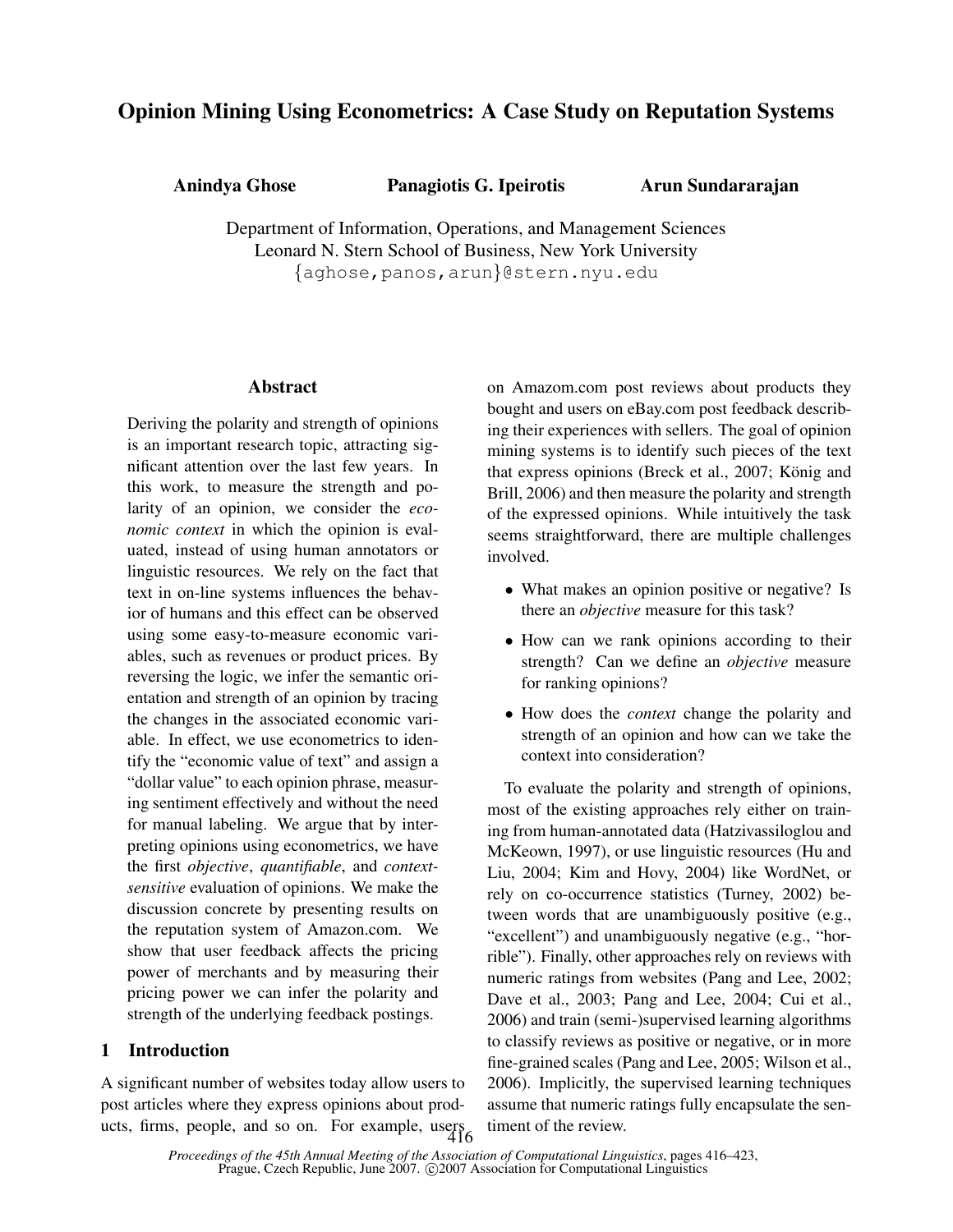# Opinion Mining Using Econometrics: A Case Study on Reputation Systems

Anindya Ghose Panagiotis G. Ipeirotis

Arun Sundararajan

Department of Information, Operations, and Management Sciences Leonard N. Stern School of Business, New York University {aghose,panos,arun}@stern.nyu.edu

## Abstract

Deriving the polarity and strength of opinions is an important research topic, attracting significant attention over the last few years. In this work, to measure the strength and polarity of an opinion, we consider the *economic context* in which the opinion is evaluated, instead of using human annotators or linguistic resources. We rely on the fact that text in on-line systems influences the behavior of humans and this effect can be observed using some easy-to-measure economic variables, such as revenues or product prices. By reversing the logic, we infer the semantic orientation and strength of an opinion by tracing the changes in the associated economic variable. In effect, we use econometrics to identify the "economic value of text" and assign a "dollar value" to each opinion phrase, measuring sentiment effectively and without the need for manual labeling. We argue that by interpreting opinions using econometrics, we have the first *objective*, *quantifiable*, and *contextsensitive* evaluation of opinions. We make the discussion concrete by presenting results on the reputation system of Amazon.com. We show that user feedback affects the pricing power of merchants and by measuring their pricing power we can infer the polarity and strength of the underlying feedback postings.

## 1 Introduction

A significant number of websites today allow users to post articles where they express opinions about products, firms, people, and so on. For example, users  $416$  on Amazom.com post reviews about products they bought and users on eBay.com post feedback describing their experiences with sellers. The goal of opinion mining systems is to identify such pieces of the text that express opinions (Breck et al., 2007; König and Brill, 2006) and then measure the polarity and strength of the expressed opinions. While intuitively the task seems straightforward, there are multiple challenges involved.

- What makes an opinion positive or negative? Is there an *objective* measure for this task?
- How can we rank opinions according to their strength? Can we define an *objective* measure for ranking opinions?
- How does the *context* change the polarity and strength of an opinion and how can we take the context into consideration?

To evaluate the polarity and strength of opinions, most of the existing approaches rely either on training from human-annotated data (Hatzivassiloglou and McKeown, 1997), or use linguistic resources (Hu and Liu, 2004; Kim and Hovy, 2004) like WordNet, or rely on co-occurrence statistics (Turney, 2002) between words that are unambiguously positive (e.g., "excellent") and unambiguously negative (e.g., "horrible"). Finally, other approaches rely on reviews with numeric ratings from websites (Pang and Lee, 2002; Dave et al., 2003; Pang and Lee, 2004; Cui et al., 2006) and train (semi-)supervised learning algorithms to classify reviews as positive or negative, or in more fine-grained scales (Pang and Lee, 2005; Wilson et al., 2006). Implicitly, the supervised learning techniques assume that numeric ratings fully encapsulate the sentiment of the review.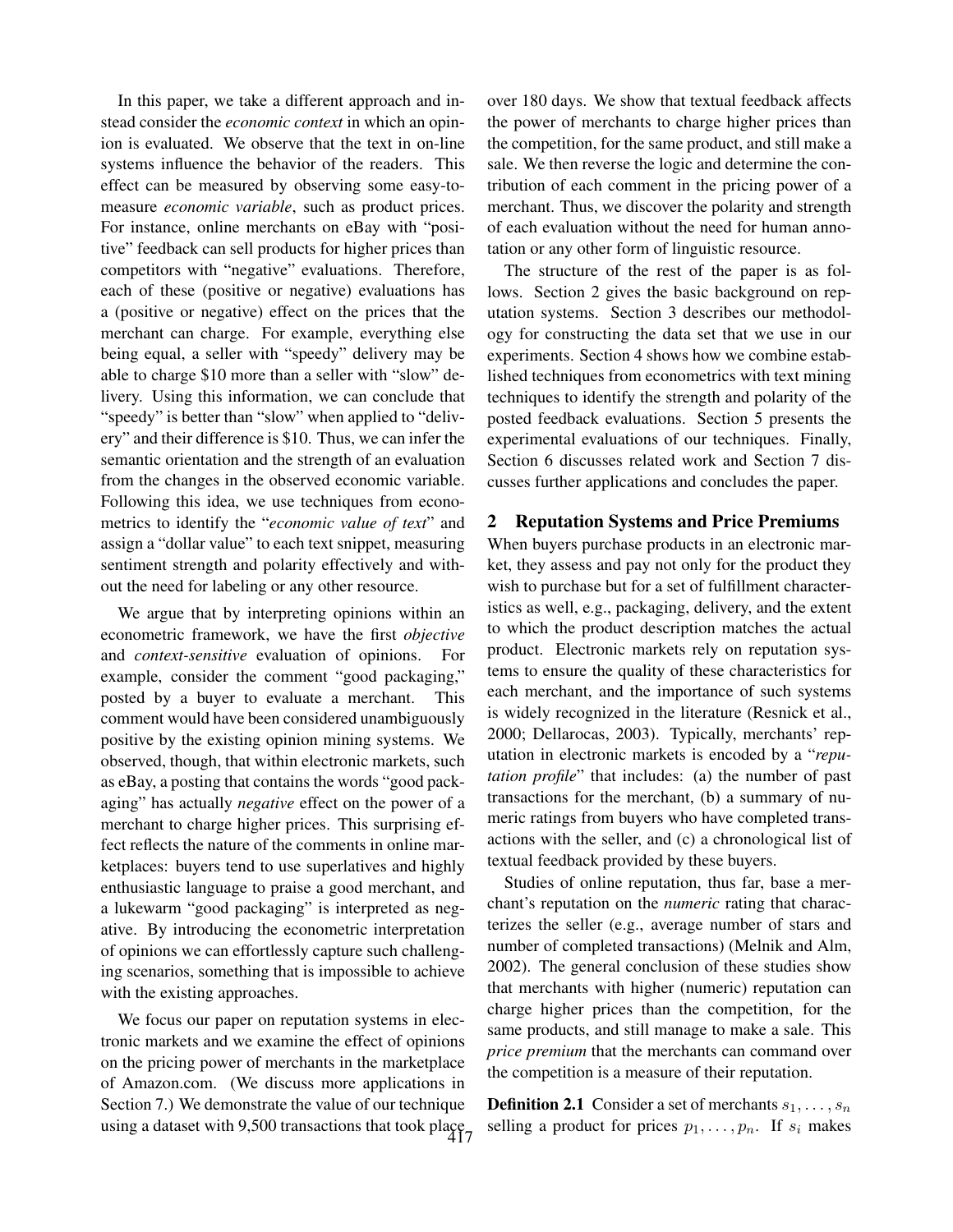In this paper, we take a different approach and instead consider the *economic context* in which an opinion is evaluated. We observe that the text in on-line systems influence the behavior of the readers. This effect can be measured by observing some easy-tomeasure *economic variable*, such as product prices. For instance, online merchants on eBay with "positive" feedback can sell products for higher prices than competitors with "negative" evaluations. Therefore, each of these (positive or negative) evaluations has a (positive or negative) effect on the prices that the merchant can charge. For example, everything else being equal, a seller with "speedy" delivery may be able to charge \$10 more than a seller with "slow" delivery. Using this information, we can conclude that "speedy" is better than "slow" when applied to "delivery" and their difference is \$10. Thus, we can infer the semantic orientation and the strength of an evaluation from the changes in the observed economic variable. Following this idea, we use techniques from econometrics to identify the "*economic value of text*" and assign a "dollar value" to each text snippet, measuring sentiment strength and polarity effectively and without the need for labeling or any other resource.

We argue that by interpreting opinions within an econometric framework, we have the first *objective* and *context-sensitive* evaluation of opinions. For example, consider the comment "good packaging," posted by a buyer to evaluate a merchant. This comment would have been considered unambiguously positive by the existing opinion mining systems. We observed, though, that within electronic markets, such as eBay, a posting that contains the words "good packaging" has actually *negative* effect on the power of a merchant to charge higher prices. This surprising effect reflects the nature of the comments in online marketplaces: buyers tend to use superlatives and highly enthusiastic language to praise a good merchant, and a lukewarm "good packaging" is interpreted as negative. By introducing the econometric interpretation of opinions we can effortlessly capture such challenging scenarios, something that is impossible to achieve with the existing approaches.

We focus our paper on reputation systems in electronic markets and we examine the effect of opinions on the pricing power of merchants in the marketplace of Amazon.com. (We discuss more applications in Section 7.) We demonstrate the value of our technique using a dataset with 9,500 transactions that took place 417 over 180 days. We show that textual feedback affects the power of merchants to charge higher prices than the competition, for the same product, and still make a sale. We then reverse the logic and determine the contribution of each comment in the pricing power of a merchant. Thus, we discover the polarity and strength of each evaluation without the need for human annotation or any other form of linguistic resource.

The structure of the rest of the paper is as follows. Section 2 gives the basic background on reputation systems. Section 3 describes our methodology for constructing the data set that we use in our experiments. Section 4 shows how we combine established techniques from econometrics with text mining techniques to identify the strength and polarity of the posted feedback evaluations. Section 5 presents the experimental evaluations of our techniques. Finally, Section 6 discusses related work and Section 7 discusses further applications and concludes the paper.

## 2 Reputation Systems and Price Premiums

When buyers purchase products in an electronic market, they assess and pay not only for the product they wish to purchase but for a set of fulfillment characteristics as well, e.g., packaging, delivery, and the extent to which the product description matches the actual product. Electronic markets rely on reputation systems to ensure the quality of these characteristics for each merchant, and the importance of such systems is widely recognized in the literature (Resnick et al., 2000; Dellarocas, 2003). Typically, merchants' reputation in electronic markets is encoded by a "*reputation profile*" that includes: (a) the number of past transactions for the merchant, (b) a summary of numeric ratings from buyers who have completed transactions with the seller, and (c) a chronological list of textual feedback provided by these buyers.

Studies of online reputation, thus far, base a merchant's reputation on the *numeric* rating that characterizes the seller (e.g., average number of stars and number of completed transactions) (Melnik and Alm, 2002). The general conclusion of these studies show that merchants with higher (numeric) reputation can charge higher prices than the competition, for the same products, and still manage to make a sale. This *price premium* that the merchants can command over the competition is a measure of their reputation.

**Definition 2.1** Consider a set of merchants  $s_1, \ldots, s_n$ selling a product for prices  $p_1, \ldots, p_n$ . If  $s_i$  makes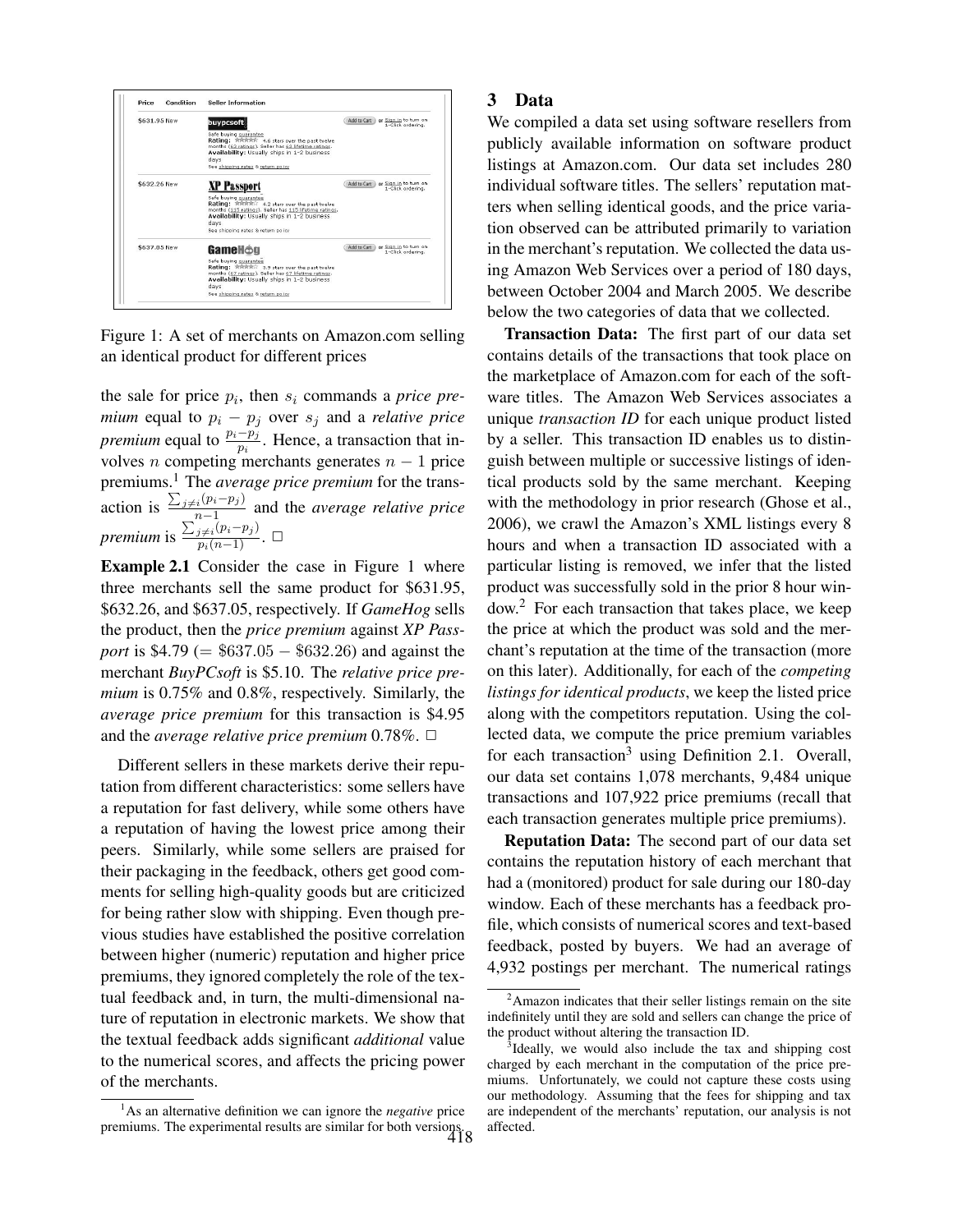

Figure 1: A set of merchants on Amazon.com selling an identical product for different prices

the sale for price  $p_i$ , then  $s_i$  commands a *price premium* equal to  $p_i - p_j$  over  $s_j$  and a *relative price premium* equal to  $\frac{p_i - p_j}{p_i}$ . Hence, a transaction that involves *n* competing merchants generates  $n - 1$  price premiums.<sup>1</sup> The *average price premium* for the transaction is  $\ddot{ }$  $_{j\neq i}(p_i-p_j)$  $\frac{n_i(p_i-p_j)}{n-1}$  and the *average relative price premium* is  $\overline{ }$  $\frac{j\neq i}(p_i-p_j)}{p_i(n-1)}$ . □

Example 2.1 Consider the case in Figure 1 where three merchants sell the same product for \$631.95, \$632.26, and \$637.05, respectively. If *GameHog* sells the product, then the *price premium* against *XP Passport* is \$4.79 (= \$637.05 − \$632.26) and against the merchant *BuyPCsoft* is \$5.10. The *relative price premium* is 0.75% and 0.8%, respectively. Similarly, the *average price premium* for this transaction is \$4.95 and the *average relative price premium*  $0.78\%$ .  $\Box$ 

Different sellers in these markets derive their reputation from different characteristics: some sellers have a reputation for fast delivery, while some others have a reputation of having the lowest price among their peers. Similarly, while some sellers are praised for their packaging in the feedback, others get good comments for selling high-quality goods but are criticized for being rather slow with shipping. Even though previous studies have established the positive correlation between higher (numeric) reputation and higher price premiums, they ignored completely the role of the textual feedback and, in turn, the multi-dimensional nature of reputation in electronic markets. We show that the textual feedback adds significant *additional* value to the numerical scores, and affects the pricing power of the merchants.

### 3 Data

We compiled a data set using software resellers from publicly available information on software product listings at Amazon.com. Our data set includes 280 individual software titles. The sellers' reputation matters when selling identical goods, and the price variation observed can be attributed primarily to variation in the merchant's reputation. We collected the data using Amazon Web Services over a period of 180 days, between October 2004 and March 2005. We describe below the two categories of data that we collected.

Transaction Data: The first part of our data set contains details of the transactions that took place on the marketplace of Amazon.com for each of the software titles. The Amazon Web Services associates a unique *transaction ID* for each unique product listed by a seller. This transaction ID enables us to distinguish between multiple or successive listings of identical products sold by the same merchant. Keeping with the methodology in prior research (Ghose et al., 2006), we crawl the Amazon's XML listings every 8 hours and when a transaction ID associated with a particular listing is removed, we infer that the listed product was successfully sold in the prior 8 hour window.<sup>2</sup> For each transaction that takes place, we keep the price at which the product was sold and the merchant's reputation at the time of the transaction (more on this later). Additionally, for each of the *competing listings for identical products*, we keep the listed price along with the competitors reputation. Using the collected data, we compute the price premium variables for each transaction<sup>3</sup> using Definition 2.1. Overall, our data set contains 1,078 merchants, 9,484 unique transactions and 107,922 price premiums (recall that each transaction generates multiple price premiums).

Reputation Data: The second part of our data set contains the reputation history of each merchant that had a (monitored) product for sale during our 180-day window. Each of these merchants has a feedback profile, which consists of numerical scores and text-based feedback, posted by buyers. We had an average of 4,932 postings per merchant. The numerical ratings

<sup>&</sup>lt;sup>1</sup>As an alternative definition we can ignore the *negative* price premiums. The experimental results are similar for both versions. 418

 $2A$ mazon indicates that their seller listings remain on the site indefinitely until they are sold and sellers can change the price of the product without altering the transaction ID.

<sup>&</sup>lt;sup>3</sup>Ideally, we would also include the tax and shipping cost charged by each merchant in the computation of the price premiums. Unfortunately, we could not capture these costs using our methodology. Assuming that the fees for shipping and tax are independent of the merchants' reputation, our analysis is not affected.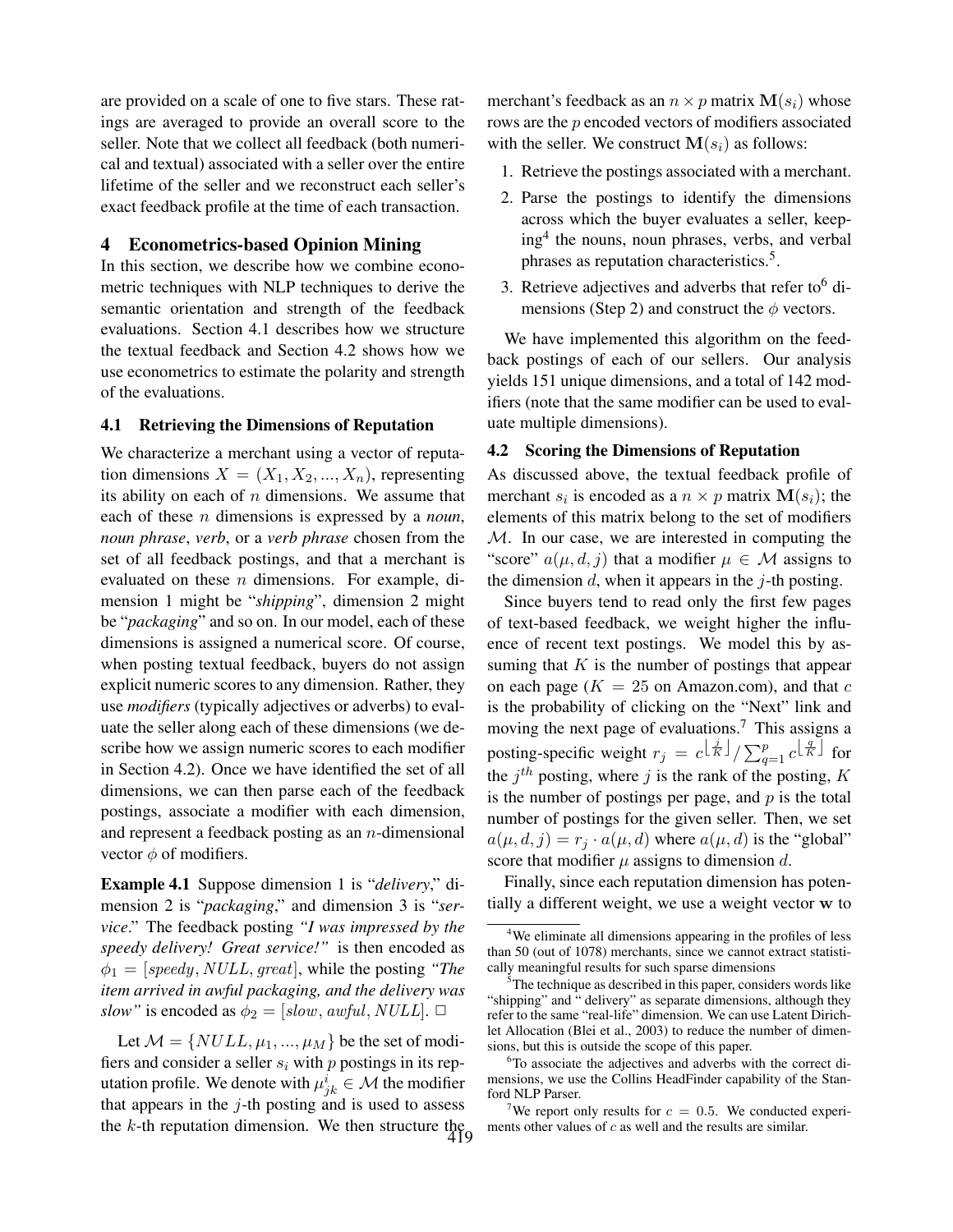are provided on a scale of one to five stars. These ratings are averaged to provide an overall score to the seller. Note that we collect all feedback (both numerical and textual) associated with a seller over the entire lifetime of the seller and we reconstruct each seller's exact feedback profile at the time of each transaction.

### 4 Econometrics-based Opinion Mining

In this section, we describe how we combine econometric techniques with NLP techniques to derive the semantic orientation and strength of the feedback evaluations. Section 4.1 describes how we structure the textual feedback and Section 4.2 shows how we use econometrics to estimate the polarity and strength of the evaluations.

#### 4.1 Retrieving the Dimensions of Reputation

We characterize a merchant using a vector of reputation dimensions  $X = (X_1, X_2, ..., X_n)$ , representing its ability on each of  $n$  dimensions. We assume that each of these n dimensions is expressed by a *noun*, *noun phrase*, *verb*, or a *verb phrase* chosen from the set of all feedback postings, and that a merchant is evaluated on these  $n$  dimensions. For example, dimension 1 might be "*shipping*", dimension 2 might be "*packaging*" and so on. In our model, each of these dimensions is assigned a numerical score. Of course, when posting textual feedback, buyers do not assign explicit numeric scores to any dimension. Rather, they use *modifiers* (typically adjectives or adverbs) to evaluate the seller along each of these dimensions (we describe how we assign numeric scores to each modifier in Section 4.2). Once we have identified the set of all dimensions, we can then parse each of the feedback postings, associate a modifier with each dimension, and represent a feedback posting as an  $n$ -dimensional vector  $\phi$  of modifiers.

Example 4.1 Suppose dimension 1 is "*delivery*," dimension 2 is "*packaging*," and dimension 3 is "*service*." The feedback posting *"I was impressed by the speedy delivery! Great service!"* is then encoded as  $\phi_1 =$  [speedy, NULL, great], while the posting *"The item arrived in awful packaging, and the delivery was slow"* is encoded as  $\phi_2 = [slow, awful, NULL]$ .  $\Box$ 

Let  $M = \{NULL, \mu_1, ..., \mu_M\}$  be the set of modifiers and consider a seller  $s_i$  with p postings in its reputation profile. We denote with  $\mu^i_{jk} \in \mathcal{M}$  the modifier that appears in the  $j$ -th posting and is used to assess the k-th reputation dimension. We then structure the 419 merchant's feedback as an  $n \times p$  matrix  $\mathbf{M}(s_i)$  whose rows are the p encoded vectors of modifiers associated with the seller. We construct  $\mathbf{M}(s_i)$  as follows:

- 1. Retrieve the postings associated with a merchant.
- 2. Parse the postings to identify the dimensions across which the buyer evaluates a seller, keeping<sup>4</sup> the nouns, noun phrases, verbs, and verbal phrases as reputation characteristics.<sup>5</sup>.
- 3. Retrieve adjectives and adverbs that refer to  $\delta$  dimensions (Step 2) and construct the  $\phi$  vectors.

We have implemented this algorithm on the feedback postings of each of our sellers. Our analysis yields 151 unique dimensions, and a total of 142 modifiers (note that the same modifier can be used to evaluate multiple dimensions).

#### 4.2 Scoring the Dimensions of Reputation

As discussed above, the textual feedback profile of merchant  $s_i$  is encoded as a  $n \times p$  matrix  $\mathbf{M}(s_i)$ ; the elements of this matrix belong to the set of modifiers M. In our case, we are interested in computing the "score"  $a(\mu, d, j)$  that a modifier  $\mu \in \mathcal{M}$  assigns to the dimension  $d$ , when it appears in the  $j$ -th posting.

Since buyers tend to read only the first few pages of text-based feedback, we weight higher the influence of recent text postings. We model this by assuming that  $K$  is the number of postings that appear on each page ( $K = 25$  on Amazon.com), and that c is the probability of clicking on the "Next" link and moving the next page of evaluations.<sup>7</sup> This assigns a posting-specific weight  $r_j = c^{\left\lfloor \frac{j}{K} \right\rfloor} / \sum_{q}^{p}$  $\int_{q=1}^{p} c^{\left\lfloor \frac{q}{K} \right\rfloor}$  for the  $j^{th}$  posting, where j is the rank of the posting, K is the number of postings per page, and  $p$  is the total number of postings for the given seller. Then, we set  $a(\mu, d, j) = r_i \cdot a(\mu, d)$  where  $a(\mu, d)$  is the "global" score that modifier  $\mu$  assigns to dimension d.

Finally, since each reputation dimension has potentially a different weight, we use a weight vector w to

<sup>&</sup>lt;sup>4</sup>We eliminate all dimensions appearing in the profiles of less than 50 (out of 1078) merchants, since we cannot extract statistically meaningful results for such sparse dimensions

<sup>&</sup>lt;sup>5</sup>The technique as described in this paper, considers words like "shipping" and " delivery" as separate dimensions, although they refer to the same "real-life" dimension. We can use Latent Dirichlet Allocation (Blei et al., 2003) to reduce the number of dimensions, but this is outside the scope of this paper.

<sup>&</sup>lt;sup>6</sup>To associate the adjectives and adverbs with the correct dimensions, we use the Collins HeadFinder capability of the Stanford NLP Parser.

We report only results for  $c = 0.5$ . We conducted experiments other values of  $c$  as well and the results are similar.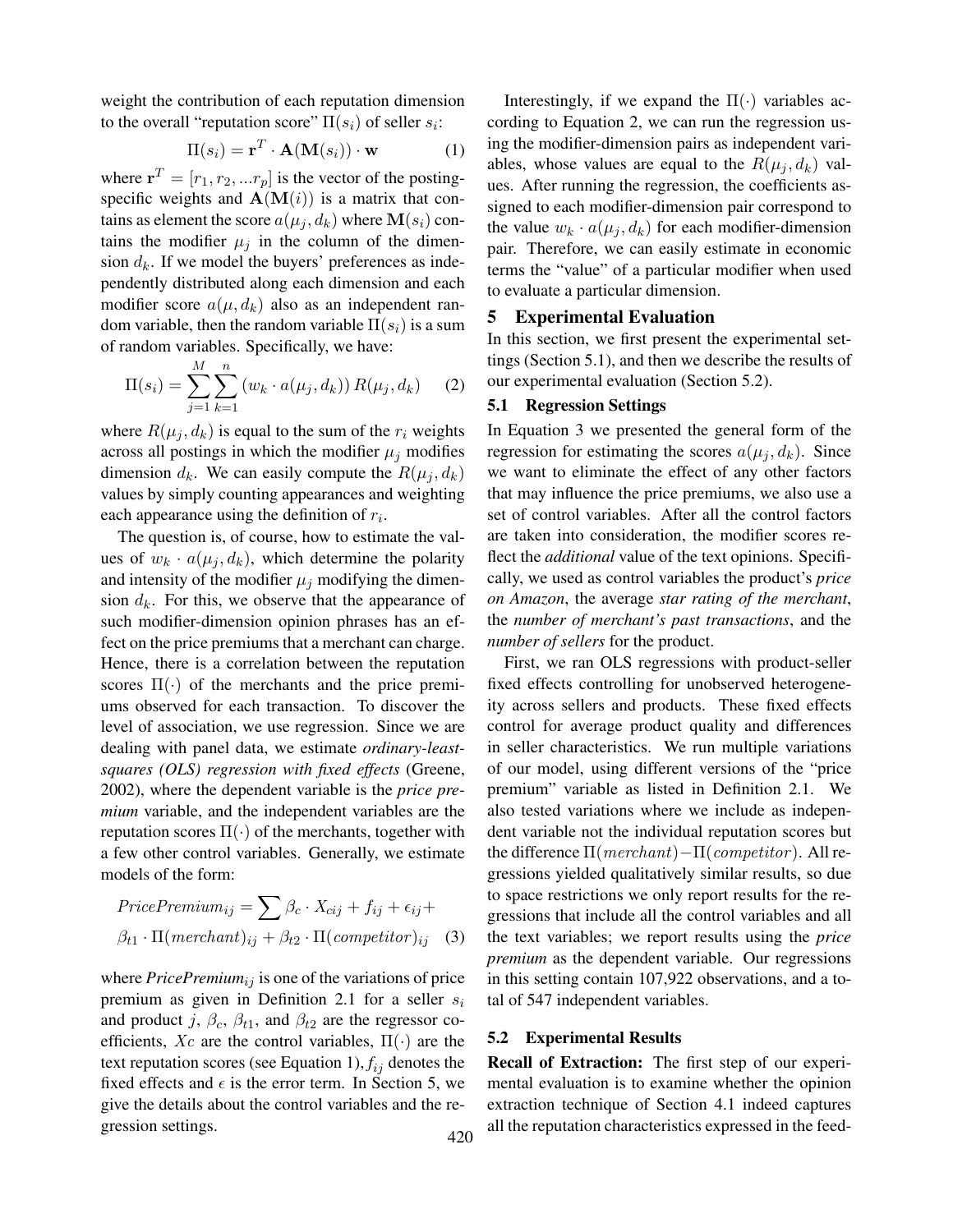weight the contribution of each reputation dimension to the overall "reputation score"  $\Pi(s_i)$  of seller  $s_i$ :

$$
\Pi(s_i) = \mathbf{r}^T \cdot \mathbf{A}(\mathbf{M}(s_i)) \cdot \mathbf{w}
$$
 (1)

where  $\mathbf{r}^T = [r_1, r_2, ... r_p]$  is the vector of the postingspecific weights and  $A(M(i))$  is a matrix that contains as element the score  $a(\mu_i, d_k)$  where  $\mathbf{M}(s_i)$  contains the modifier  $\mu_i$  in the column of the dimension  $d_k$ . If we model the buyers' preferences as independently distributed along each dimension and each modifier score  $a(\mu, d_k)$  also as an independent random variable, then the random variable  $\Pi(s_i)$  is a sum of random variables. Specifically, we have:

$$
\Pi(s_i) = \sum_{j=1}^{M} \sum_{k=1}^{n} (w_k \cdot a(\mu_j, d_k)) R(\mu_j, d_k)
$$
 (2)

where  $R(\mu_j, d_k)$  is equal to the sum of the  $r_i$  weights across all postings in which the modifier  $\mu_j$  modifies dimension  $d_k$ . We can easily compute the  $R(\mu_i, d_k)$ values by simply counting appearances and weighting each appearance using the definition of  $r_i$ .

The question is, of course, how to estimate the values of  $w_k \cdot a(\mu_j, d_k)$ , which determine the polarity and intensity of the modifier  $\mu_i$  modifying the dimension  $d_k$ . For this, we observe that the appearance of such modifier-dimension opinion phrases has an effect on the price premiums that a merchant can charge. Hence, there is a correlation between the reputation scores  $\Pi(\cdot)$  of the merchants and the price premiums observed for each transaction. To discover the level of association, we use regression. Since we are dealing with panel data, we estimate *ordinary-leastsquares (OLS) regression with fixed effects* (Greene, 2002), where the dependent variable is the *price premium* variable, and the independent variables are the reputation scores  $\Pi(\cdot)$  of the merchants, together with a few other control variables. Generally, we estimate models of the form:

$$
PricePremium_{ij} = \sum \beta_c \cdot X_{cij} + f_{ij} + \epsilon_{ij} +
$$

$$
\beta_{t1} \cdot \Pi(merchant)_{ij} + \beta_{t2} \cdot \Pi(competitor)_{ij} \quad (3)
$$

where  $Price Premium_{ij}$  is one of the variations of price premium as given in Definition 2.1 for a seller  $s_i$ and product j,  $\beta_c$ ,  $\beta_{t1}$ , and  $\beta_{t2}$  are the regressor coefficients, Xc are the control variables,  $\Pi(\cdot)$  are the text reputation scores (see Equation 1),  $f_{ij}$  denotes the fixed effects and  $\epsilon$  is the error term. In Section 5, we give the details about the control variables and the regression settings. 420

Interestingly, if we expand the  $\Pi(\cdot)$  variables according to Equation 2, we can run the regression using the modifier-dimension pairs as independent variables, whose values are equal to the  $R(\mu_j, d_k)$  values. After running the regression, the coefficients assigned to each modifier-dimension pair correspond to the value  $w_k \cdot a(\mu_i, d_k)$  for each modifier-dimension pair. Therefore, we can easily estimate in economic terms the "value" of a particular modifier when used to evaluate a particular dimension.

#### 5 Experimental Evaluation

In this section, we first present the experimental settings (Section 5.1), and then we describe the results of our experimental evaluation (Section 5.2).

#### 5.1 Regression Settings

In Equation 3 we presented the general form of the regression for estimating the scores  $a(\mu_j, d_k)$ . Since we want to eliminate the effect of any other factors that may influence the price premiums, we also use a set of control variables. After all the control factors are taken into consideration, the modifier scores reflect the *additional* value of the text opinions. Specifically, we used as control variables the product's *price on Amazon*, the average *star rating of the merchant*, the *number of merchant's past transactions*, and the *number of sellers* for the product.

First, we ran OLS regressions with product-seller fixed effects controlling for unobserved heterogeneity across sellers and products. These fixed effects control for average product quality and differences in seller characteristics. We run multiple variations of our model, using different versions of the "price premium" variable as listed in Definition 2.1. We also tested variations where we include as independent variable not the individual reputation scores but the difference  $\Pi(merchant) - \Pi(competitor)$ . All regressions yielded qualitatively similar results, so due to space restrictions we only report results for the regressions that include all the control variables and all the text variables; we report results using the *price premium* as the dependent variable. Our regressions in this setting contain 107,922 observations, and a total of 547 independent variables.

#### 5.2 Experimental Results

Recall of Extraction: The first step of our experimental evaluation is to examine whether the opinion extraction technique of Section 4.1 indeed captures all the reputation characteristics expressed in the feed-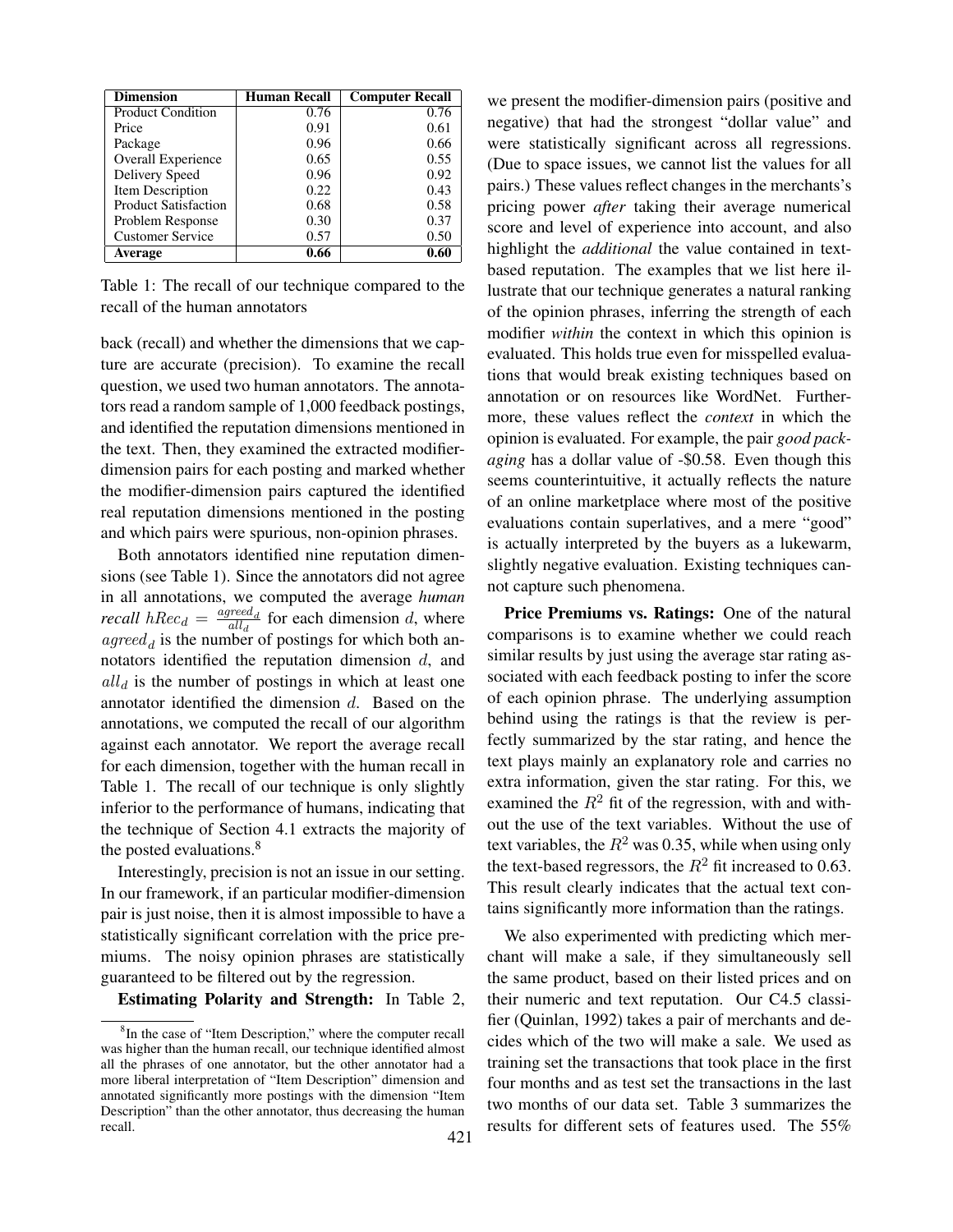| <b>Dimension</b>            | Human Recall | <b>Computer Recall</b> |
|-----------------------------|--------------|------------------------|
| <b>Product Condition</b>    | 0.76         | 0.76                   |
| Price                       | 0.91         | 0.61                   |
| Package                     | 0.96         | 0.66                   |
| Overall Experience          | 0.65         | 0.55                   |
| Delivery Speed              | 0.96         | 0.92                   |
| Item Description            | 0.22         | 0.43                   |
| <b>Product Satisfaction</b> | 0.68         | 0.58                   |
| Problem Response            | 0.30         | 0.37                   |
| <b>Customer Service</b>     | 0.57         | 0.50                   |
| <b>Average</b>              | 0.66         | 0.60                   |

Table 1: The recall of our technique compared to the recall of the human annotators

back (recall) and whether the dimensions that we capture are accurate (precision). To examine the recall question, we used two human annotators. The annotators read a random sample of 1,000 feedback postings, and identified the reputation dimensions mentioned in the text. Then, they examined the extracted modifierdimension pairs for each posting and marked whether the modifier-dimension pairs captured the identified real reputation dimensions mentioned in the posting and which pairs were spurious, non-opinion phrases.

Both annotators identified nine reputation dimensions (see Table 1). Since the annotators did not agree in all annotations, we computed the average *human recall*  $hRec_d = \frac{agred_d}{all_d}$  $\frac{\text{area}}{\text{all}_d}$  for each dimension d, where  $\mathit{agreed}_d$  is the number of postings for which both annotators identified the reputation dimension  $d$ , and  $all_d$  is the number of postings in which at least one annotator identified the dimension d. Based on the annotations, we computed the recall of our algorithm against each annotator. We report the average recall for each dimension, together with the human recall in Table 1. The recall of our technique is only slightly inferior to the performance of humans, indicating that the technique of Section 4.1 extracts the majority of the posted evaluations.<sup>8</sup>

Interestingly, precision is not an issue in our setting. In our framework, if an particular modifier-dimension pair is just noise, then it is almost impossible to have a statistically significant correlation with the price premiums. The noisy opinion phrases are statistically guaranteed to be filtered out by the regression.

Estimating Polarity and Strength: In Table 2,

we present the modifier-dimension pairs (positive and negative) that had the strongest "dollar value" and were statistically significant across all regressions. (Due to space issues, we cannot list the values for all pairs.) These values reflect changes in the merchants's pricing power *after* taking their average numerical score and level of experience into account, and also highlight the *additional* the value contained in textbased reputation. The examples that we list here illustrate that our technique generates a natural ranking of the opinion phrases, inferring the strength of each modifier *within* the context in which this opinion is evaluated. This holds true even for misspelled evaluations that would break existing techniques based on annotation or on resources like WordNet. Furthermore, these values reflect the *context* in which the opinion is evaluated. For example, the pair *good packaging* has a dollar value of -\$0.58. Even though this seems counterintuitive, it actually reflects the nature of an online marketplace where most of the positive evaluations contain superlatives, and a mere "good" is actually interpreted by the buyers as a lukewarm, slightly negative evaluation. Existing techniques cannot capture such phenomena.

Price Premiums vs. Ratings: One of the natural comparisons is to examine whether we could reach similar results by just using the average star rating associated with each feedback posting to infer the score of each opinion phrase. The underlying assumption behind using the ratings is that the review is perfectly summarized by the star rating, and hence the text plays mainly an explanatory role and carries no extra information, given the star rating. For this, we examined the  $R^2$  fit of the regression, with and without the use of the text variables. Without the use of text variables, the  $R^2$  was 0.35, while when using only the text-based regressors, the  $R^2$  fit increased to 0.63. This result clearly indicates that the actual text contains significantly more information than the ratings.

We also experimented with predicting which merchant will make a sale, if they simultaneously sell the same product, based on their listed prices and on their numeric and text reputation. Our C4.5 classifier (Quinlan, 1992) takes a pair of merchants and decides which of the two will make a sale. We used as training set the transactions that took place in the first four months and as test set the transactions in the last two months of our data set. Table 3 summarizes the results for different sets of features used. The 55%

<sup>&</sup>lt;sup>8</sup>In the case of "Item Description," where the computer recall was higher than the human recall, our technique identified almost all the phrases of one annotator, but the other annotator had a more liberal interpretation of "Item Description" dimension and annotated significantly more postings with the dimension "Item Description" than the other annotator, thus decreasing the human recall.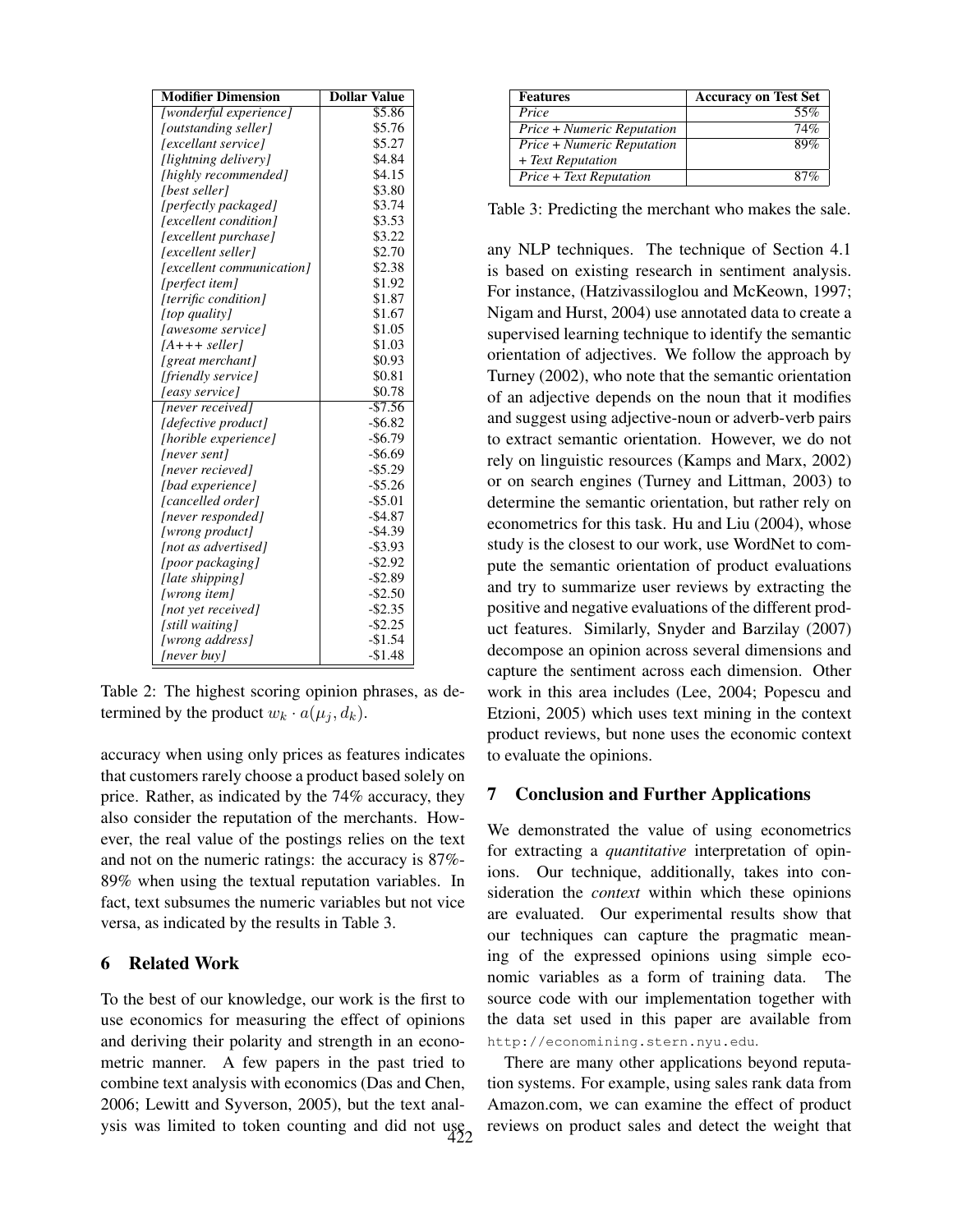| <b>Modifier Dimension</b> | <b>Dollar Value</b> |
|---------------------------|---------------------|
| [wonderful experience]    | \$5.86              |
| [outstanding seller]      | \$5.76              |
| [excellant service]       | \$5.27              |
| [lightning delivery]      | \$4.84              |
| [highly recommended]      | \$4.15              |
| [best seller]             | \$3.80              |
| [perfectly packaged]      | \$3.74              |
| [excellent condition]     | \$3.53              |
| [excellent purchase]      | \$3.22              |
| [excellent seller]        | \$2.70              |
| [excellent communication] | \$2.38              |
| [perfect item]            | \$1.92              |
| [terrific condition]      | \$1.87              |
| [top quality]             | \$1.67              |
| <i>[awesome service]</i>  | \$1.05              |
| $[A+++$ seller]           | \$1.03              |
| [great merchant]          | \$0.93              |
| [friendly service]        | \$0.81              |
| [easy service]            | \$0.78              |
| [never received]          | $-$7.56$            |
| [defective product]       | $-$ \$6.82          |
| [horible experience]      | $-$6.79$            |
| [never sent]              | $-$ \$6.69          |
| [never recieved]          | $-$ \$5.29          |
| [bad experience]          | $-$ \$5.26          |
| [cancelled order]         | $-$ \$5.01          |
| [never responded]         | $-$4.87$            |
| [wrong product]           | $-$ \$4.39          |
| [not as advertised]       | $-$ \$3.93          |
| [poor packaging]          | $-$ \$2.92          |
| [late shipping]           | $-$ \$2.89          |
| [wrong item]              | $-$ \$2.50          |
| [not yet received]        | $-$ \$2.35          |
| [still waiting]           | $-$ \$2.25          |
| [wrong address]           | $-$1.54$            |
| [never buy]               | $-$1.48$            |

Table 2: The highest scoring opinion phrases, as determined by the product  $w_k \cdot a(\mu_j, d_k)$ .

accuracy when using only prices as features indicates that customers rarely choose a product based solely on price. Rather, as indicated by the 74% accuracy, they also consider the reputation of the merchants. However, the real value of the postings relies on the text and not on the numeric ratings: the accuracy is 87%- 89% when using the textual reputation variables. In fact, text subsumes the numeric variables but not vice versa, as indicated by the results in Table 3.

## 6 Related Work

To the best of our knowledge, our work is the first to use economics for measuring the effect of opinions and deriving their polarity and strength in an econometric manner. A few papers in the past tried to combine text analysis with economics (Das and Chen, 2006; Lewitt and Syverson, 2005), but the text analysis was limited to token counting and did not use 422

| <b>Features</b>                         | <b>Accuracy on Test Set</b> |
|-----------------------------------------|-----------------------------|
| Price                                   | 55%                         |
| $\overline{Price}$ + Numeric Reputation | 74%                         |
| Price + Numeric Reputation              | 89%                         |
| + Text Reputation                       |                             |
| Price + Text Reputation                 | x'                          |

Table 3: Predicting the merchant who makes the sale.

any NLP techniques. The technique of Section 4.1 is based on existing research in sentiment analysis. For instance, (Hatzivassiloglou and McKeown, 1997; Nigam and Hurst, 2004) use annotated data to create a supervised learning technique to identify the semantic orientation of adjectives. We follow the approach by Turney (2002), who note that the semantic orientation of an adjective depends on the noun that it modifies and suggest using adjective-noun or adverb-verb pairs to extract semantic orientation. However, we do not rely on linguistic resources (Kamps and Marx, 2002) or on search engines (Turney and Littman, 2003) to determine the semantic orientation, but rather rely on econometrics for this task. Hu and Liu (2004), whose study is the closest to our work, use WordNet to compute the semantic orientation of product evaluations and try to summarize user reviews by extracting the positive and negative evaluations of the different product features. Similarly, Snyder and Barzilay (2007) decompose an opinion across several dimensions and capture the sentiment across each dimension. Other work in this area includes (Lee, 2004; Popescu and Etzioni, 2005) which uses text mining in the context product reviews, but none uses the economic context to evaluate the opinions.

#### 7 Conclusion and Further Applications

We demonstrated the value of using econometrics for extracting a *quantitative* interpretation of opinions. Our technique, additionally, takes into consideration the *context* within which these opinions are evaluated. Our experimental results show that our techniques can capture the pragmatic meaning of the expressed opinions using simple economic variables as a form of training data. The source code with our implementation together with the data set used in this paper are available from http://economining.stern.nyu.edu.

There are many other applications beyond reputation systems. For example, using sales rank data from Amazon.com, we can examine the effect of product reviews on product sales and detect the weight that